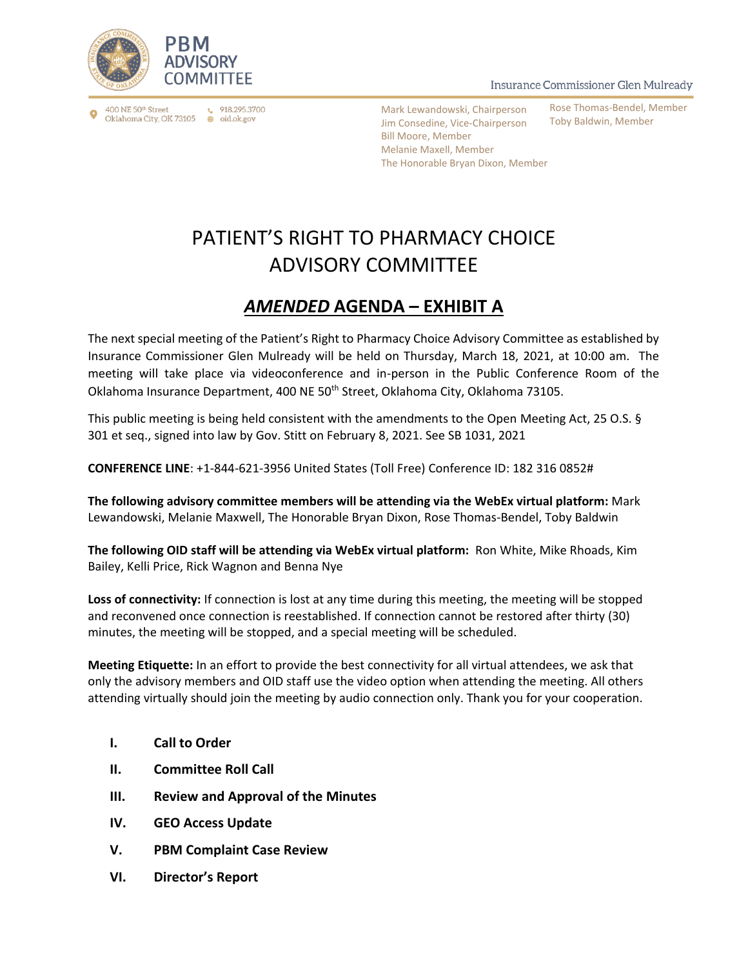

 $\binom{918.295.3700}{ }$ 400 NE 50<sup>th</sup> Street Oklahoma City, OK 73105 ⊕ oid.ok.gov

Mark Lewandowski, Chairperson Jim Consedine, Vice-Chairperson Bill Moore, Member Melanie Maxell, Member The Honorable Bryan Dixon, Member

Insurance Commissioner Glen Mulready

Rose Thomas-Bendel, Member Toby Baldwin, Member

## PATIENT'S RIGHT TO PHARMACY CHOICE ADVISORY COMMITTEE

## *AMENDED* **AGENDA – EXHIBIT A**

The next special meeting of the Patient's Right to Pharmacy Choice Advisory Committee as established by Insurance Commissioner Glen Mulready will be held on Thursday, March 18, 2021, at 10:00 am. The meeting will take place via videoconference and in-person in the Public Conference Room of the Oklahoma Insurance Department, 400 NE 50th Street, Oklahoma City, Oklahoma 73105.

This public meeting is being held consistent with the amendments to the Open Meeting Act, 25 O.S. § 301 et seq., signed into law by Gov. Stitt on February 8, 2021. See SB 1031, 2021

**CONFERENCE LINE**: +1-844-621-3956 United States (Toll Free) Conference ID: 182 316 0852#

**The following advisory committee members will be attending via the WebEx virtual platform:** Mark Lewandowski, Melanie Maxwell, The Honorable Bryan Dixon, Rose Thomas-Bendel, Toby Baldwin

**The following OID staff will be attending via WebEx virtual platform:** Ron White, Mike Rhoads, Kim Bailey, Kelli Price, Rick Wagnon and Benna Nye

**Loss of connectivity:** If connection is lost at any time during this meeting, the meeting will be stopped and reconvened once connection is reestablished. If connection cannot be restored after thirty (30) minutes, the meeting will be stopped, and a special meeting will be scheduled.

**Meeting Etiquette:** In an effort to provide the best connectivity for all virtual attendees, we ask that only the advisory members and OID staff use the video option when attending the meeting. All others attending virtually should join the meeting by audio connection only. Thank you for your cooperation.

- **I. Call to Order**
- **II. Committee Roll Call**
- **III. Review and Approval of the Minutes**
- **IV. GEO Access Update**
- **V. PBM Complaint Case Review**
- **VI. Director's Report**